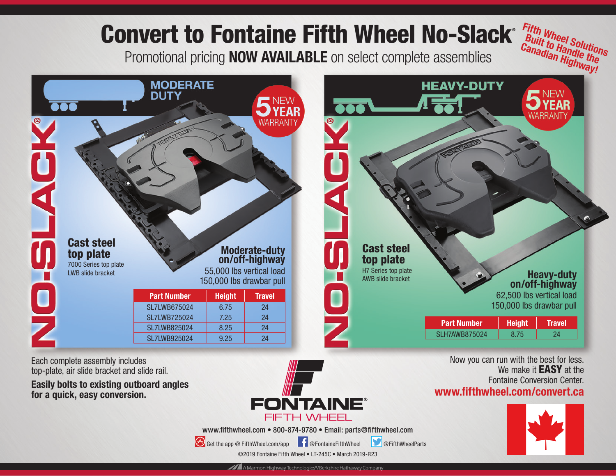

Each complete assembly includes top-plate, air slide bracket and slide rail.

**Easily bolts to existing outboard angles for a quick, easy conversion.**



www.fifthwheel.com • 800-874-9780 • Email: parts@fifthwheel.com

Get the app @ FifthWheel.com/app F @FontaineFifthWheel **@FifthWheelParts** 

We make it **EASY** at the Fontaine Conversion Center.

**www.fifthwheel.com/convert.ca** 

©2019 Fontaine Fifth Wheel • LT-245C • March 2019-R23

A Marmon Highway Technologies®/Berkshire Hathaway Company